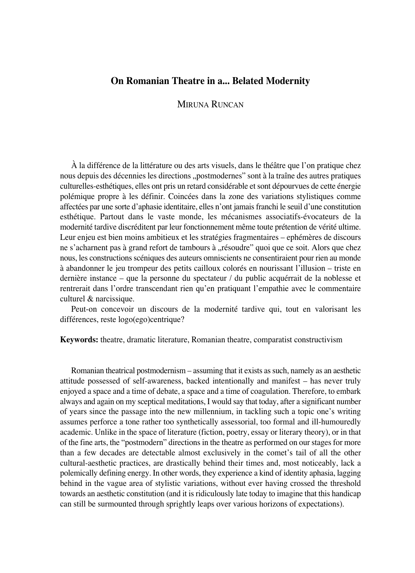# **On Romanian Theatre in a... Belated Modernity**

MIRUNA RUNCAN

À la différence de la littérature ou des arts visuels, dans le théâtre que l'on pratique chez nous depuis des décennies les directions "postmodernes" sont à la traîne des autres pratiques culturelles°esthétiques, elles ont pris un retard considérable et sont dépourvues de cette énergie polémique propre à les définir. Coincées dans la zone des variations stylistiques comme affectées par une sorte d'aphasie identitaire, elles n'ont jamais franchi le seuil d'une constitution esthétique. Partout dans le vaste monde, les mécanismes associatifs-évocateurs de la modernité tardive discréditent par leur fonctionnement même toute prétention de vérité ultime. Leur enjeu est bien moins ambitieux et les stratégies fragmentaires – ephémères de discours ne s'acharnent pas à grand refort de tambours à "résoudre" quoi que ce soit. Alors que chez nous, les constructions scéniques des auteurs omniscients ne consentiraient pour rien au monde à abandonner le jeu trompeur des petits cailloux colorés en nourissant l'illusion – triste en dernière instance – que la personne du spectateur / du public acquérrait de la noblesse et rentrerait dans l'ordre transcendant rien qu'en pratiquant l'empathie avec le commentaire culturel & narcissique.

Peut-on concevoir un discours de la modernité tardive qui, tout en valorisant les différences, reste logo(ego)centrique?

**Keywords:** theatre, dramatic literature, Romanian theatre, comparatist constructivism

Romanian theatrical postmodernism – assuming that it exists as such, namely as an aesthetic attitude possessed of self°awareness, backed intentionally and manifest – has never truly enjoyed a space and a time of debate, a space and a time of coagulation. Therefore, to embark always and again on my sceptical meditations, I would say that today, after a significant number of years since the passage into the new millennium, in tackling such a topic one's writing assumes perforce a tone rather too synthetically assessorial, too formal and ill-humouredly academic. Unlike in the space of literature (fiction, poetry, essay or literary theory), or in that of the fine arts, the "postmodern" directions in the theatre as performed on our stages for more than a few decades are detectable almost exclusively in the comet's tail of all the other cultural-aesthetic practices, are drastically behind their times and, most noticeably, lack a polemically defining energy. In other words, they experience a kind of identity aphasia, lagging behind in the vague area of stylistic variations, without ever having crossed the threshold towards an aesthetic constitution (and it is ridiculously late today to imagine that this handicap can still be surmounted through sprightly leaps over various horizons of expectations).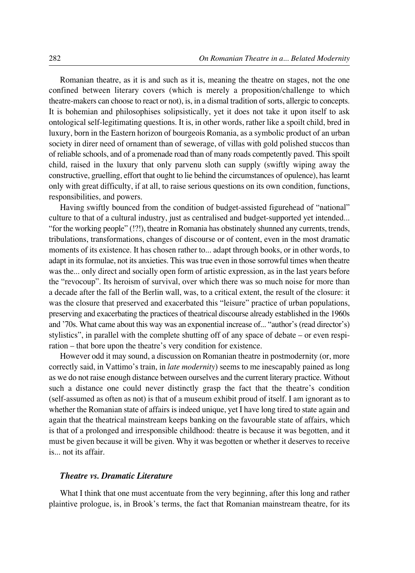Romanian theatre, as it is and such as it is, meaning the theatre on stages, not the one confined between literary covers (which is merely a proposition/challenge to which theatre°makers can choose to react or not), is, in a dismal tradition of sorts, allergic to concepts. It is bohemian and philosophises solipsistically, yet it does not take it upon itself to ask ontological self-legitimating questions. It is, in other words, rather like a spoilt child, bred in luxury, born in the Eastern horizon of bourgeois Romania, as a symbolic product of an urban society in direr need of ornament than of sewerage, of villas with gold polished stuccos than of reliable schools, and of a promenade road than of many roads competently paved. This spoilt child, raised in the luxury that only parvenu sloth can supply (swiftly wiping away the constructive, gruelling, effort that ought to lie behind the circumstances of opulence), has learnt only with great difficulty, if at all, to raise serious questions on its own condition, functions, responsibilities, and powers.

Having swiftly bounced from the condition of budget-assisted figurehead of "national" culture to that of a cultural industry, just as centralised and budget-supported yet intended... "for the working people" (!?!), theatre in Romania has obstinately shunned any currents, trends, tribulations, transformations, changes of discourse or of content, even in the most dramatic moments of its existence. It has chosen rather to... adapt through books, or in other words, to adapt in its formulae, not its anxieties. This was true even in those sorrowful times when theatre was the... only direct and socially open form of artistic expression, as in the last years before the "revocoup". Its heroism of survival, over which there was so much noise for more than a decade after the fall of the Berlin wall, was, to a critical extent, the result of the closure: it was the closure that preserved and exacerbated this "leisure" practice of urban populations, preserving and exacerbating the practices of theatrical discourse already established in the 1960s and '70s. What came about this way was an exponential increase of... "author's (read director's) stylistics", in parallel with the complete shutting off of any space of debate – or even respiration – that bore upon the theatre's very condition for existence.

However odd it may sound, a discussion on Romanian theatre in postmodernity (or, more correctly said, in Vattimo's train, in *late modernity*) seems to me inescapably pained as long as we do not raise enough distance between ourselves and the current literary practice. Without such a distance one could never distinctly grasp the fact that the theatre's condition (self°assumed as often as not) is that of a museum exhibit proud of itself. I am ignorant as to whether the Romanian state of affairs is indeed unique, yet I have long tired to state again and again that the theatrical mainstream keeps banking on the favourable state of affairs, which is that of a prolonged and irresponsible childhood: theatre is because it was begotten, and it must be given because it will be given. Why it was begotten or whether it deserves to receive is... not its affair.

### *Theatre vs. Dramatic Literature*

What I think that one must accentuate from the very beginning, after this long and rather plaintive prologue, is, in Brook's terms, the fact that Romanian mainstream theatre, for its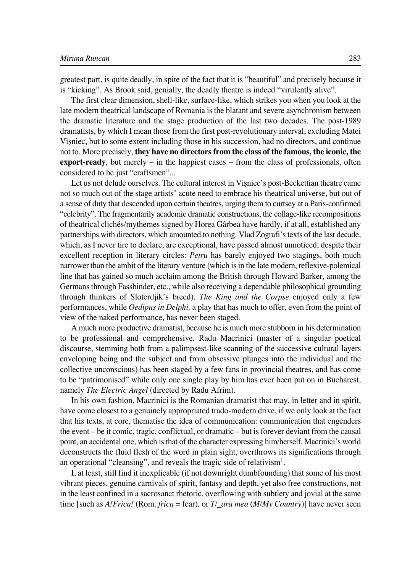greatest part, is quite deadly, in spite of the fact that it is "beautiful" and precisely because it is "kicking". As Brook said, genially, the deadly theatre is indeed "virulently alive".

The first clear dimension, shell-like, surface-like, which strikes you when you look at the late modern theatrical landscape of Romania is the blatant and severe asynchronism between the dramatic literature and the stage production of the last two decades. The post-1989 dramatists, by which I mean those from the first post-revolutionary interval, excluding Matei Viøniec, but to some extent including those in his succession, had no directors, and continue not to. More precisely, **they have no directors from the class of the famous, the iconic, the export-ready**, but merely – in the happiest cases – from the class of professionals, often considered to be just "craftsmen"...

Let us not delude ourselves. The cultural interest in Visniec's post-Beckettian theatre came not so much out of the stage artists' acute need to embrace his theatrical universe, but out of a sense of duty that descended upon certain theatres, urging them to curtsey at a Paris-confirmed "celebrity". The fragmentarily academic dramatic constructions, the collage-like recompositions of theatrical clichés/mythemes signed by Horea Gârbea have hardly, if at all, established any partnerships with directors, which amounted to nothing. Vlad Zografi's texts of the last decade, which, as I never tire to declare, are exceptional, have passed almost unnoticed, despite their excellent reception in literary circles: *Petru* has barely enjoyed two stagings, both much narrower than the ambit of the literary venture (which is in the late modern, reflexive-polemical line that has gained so much acclaim among the British through Howard Barker, among the Germans through Fassbinder, etc., while also receiving a dependable philosophical grounding through thinkers of Sloterdjik's breed). *The King and the Corpse* enjoyed only a few performances, while *Oedipus in Delphi,* a play that has much to offer, even from the point of view of the naked performance, has never been staged.

A much more productive dramatist, because he is much more stubborn in his determination to be professional and comprehensive, Radu Macrinici (master of a singular poetical discourse, stemming both from a palimpsest-like scanning of the successive cultural layers enveloping being and the subject and from obsessive plunges into the individual and the collective unconscious) has been staged by a few fans in provincial theatres, and has come to be "patrimonised" while only one single play by him has ever been put on in Bucharest, namely *The Electric Angel* (directed by Radu Afrim).

In his own fashion, Macrinici is the Romanian dramatist that may, in letter and in spirit, have come closest to a genuinely appropriated trado-modern drive, if we only look at the fact that his texts, at core, thematise the idea of communication: communication that engenders the event – be it comic, tragic, conflictual, or dramatic – but is forever deviant from the causal point, an accidental one, which is that of the character expressing him/herself. Macrinici's world deconstructs the fluid flesh of the word in plain sight, overthrows its significations through an operational "cleansing", and reveals the tragic side of relativism $<sup>1</sup>$ .</sup>

I, at least, still find it inexplicable (if not downright dumbfounding) that some of his most vibrant pieces, genuine carnivals of spirit, fantasy and depth, yet also free constructions, not in the least confined in a sacrosanct rhetoric, overflowing with subtlety and jovial at the same time [such as *A!Frica!* (Rom. *frica* = fear)*,* or *T/\_ara mea* (*M/My Country*)] have never seen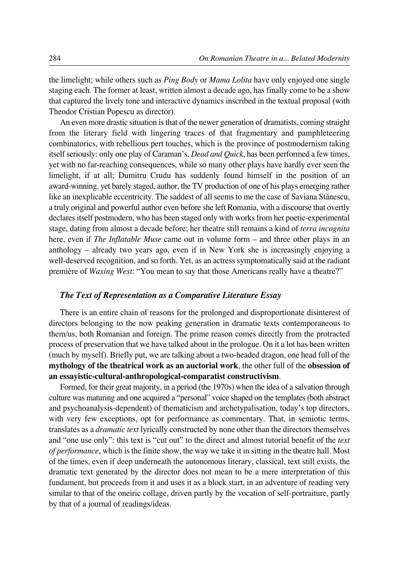the limelight; while others such as *Ping Body* or *Mama Lolita* have only enjoyed one single staging each. The former at least, written almost a decade ago, has finally come to be a show that captured the lively tone and interactive dynamics inscribed in the textual proposal (with Theodor Cristian Popescu as director).

An even more drastic situation is that of the newer generation of dramatists, coming straight from the literary field with lingering traces of that fragmentary and pamphleteering combinatorics, with rebellious pert touches, which is the province of postmodernism taking itself seriously: only one play of Caraman's, *Dead and Quick*, has been performed a few times, yet with no far-reaching consequences, while so many other plays have hardly ever seen the limelight, if at all; Dumitru Crudu has suddenly found himself in the position of an award°winning, yet barely staged, author, the TV production of one of his plays emerging rather like an inexplicable eccentricity. The saddest of all seems to me the case of Saviana Stănescu, a truly original and powerful author even before she left Romania, with a discourse that overtly declares itself postmodern, who has been staged only with works from her poetic-experimental stage, dating from almost a decade before; her theatre still remains a kind of *terra incognita* here, even if *The Inflatable Muse* came out in volume form – and three other plays in an anthology – already two years ago, even if in New York she is increasingly enjoying a well-deserved recognition, and so forth. Yet, as an actress symptomatically said at the radiant première of *Waxing West*: "You mean to say that those Americans really have a theatre?"

## *The Text of Representation as a Comparative Literature Essay*

There is an entire chain of reasons for the prolonged and disproportionate disinterest of directors belonging to the now peaking generation in dramatic texts contemporaneous to them/us, both Romanian and foreign. The prime reason comes directly from the protracted process of preservation that we have talked about in the prologue. On it a lot has been written (much by myself). Briefly put, we are talking about a two-headed dragon, one head full of the **mythology of the theatrical work as an auctorial work**, the other full of the **obsession of an essayistic°cultural°anthropological°comparatist constructivism**.

Formed, for their great majority, in a period (the 1970s) when the idea of a salvation through culture was maturing and one acquired a "personal" voice shaped on the templates (both abstract and psychoanalysis-dependent) of thematicism and archetypalisation, today's top directors, with very few exceptions, opt for performance as commentary. That, in semiotic terms, translates as a *dramatic text* lyrically constructed by none other than the directors themselves and "one use only": this text is "cut out" to the direct and almost tutorial benefit of the *text of performance*, which is the finite show, the way we take it in sitting in the theatre hall. Most of the times, even if deep underneath the autonomous literary, classical, text still exists, the dramatic text generated by the director does not mean to be a mere interpretation of this fundament, but proceeds from it and uses it as a block start, in an adventure of reading very similar to that of the oneiric collage, driven partly by the vocation of self-portraiture, partly by that of a journal of readings/ideas.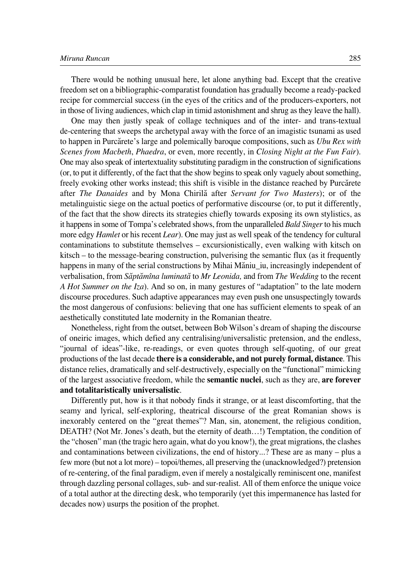#### *Miruna Runcan* 285

There would be nothing unusual here, let alone anything bad. Except that the creative freedom set on a bibliographic-comparatist foundation has gradually become a ready-packed recipe for commercial success (in the eyes of the critics and of the producers-exporters, not in those of living audiences, which clap in timid astonishment and shrug as they leave the hall).

One may then justly speak of collage techniques and of the inter- and trans-textual de°centering that sweeps the archetypal away with the force of an imagistic tsunami as used to happen in Purcărete's large and polemically baroque compositions, such as *Ubu Rex with Scenes from Macbeth*, *Phaedra*, or even, more recently, in *Closing Night at the Fun Fair*). One may also speak of intertextuality substituting paradigm in the construction of significations (or, to put it differently, of the fact that the show begins to speak only vaguely about something, freely evoking other works instead; this shift is visible in the distance reached by Purcărete after *The Danaides* and by Mona Chirilæ after *Servant for Two Masters*); or of the metalinguistic siege on the actual poetics of performative discourse (or, to put it differently, of the fact that the show directs its strategies chiefly towards exposing its own stylistics, as it happens in some of Tompa's celebrated shows, from the unparalleled *Bald Singer* to his much more edgy *Hamlet* or his recent *Lear*). One may just as well speak of the tendency for cultural contaminations to substitute themselves – excursionistically, even walking with kitsch on kitsch – to the message-bearing construction, pulverising the semantic flux (as it frequently happens in many of the serial constructions by Mihai Măniu iu, increasingly independent of verbalisation, from *Sæptæmîna luminatæ* to *Mr Leonida,* and from *The Wedding* to the recent *A Hot Summer on the Iza*). And so on, in many gestures of "adaptation" to the late modern discourse procedures. Such adaptive appearances may even push one unsuspectingly towards the most dangerous of confusions: believing that one has sufficient elements to speak of an aesthetically constituted late modernity in the Romanian theatre.

Nonetheless, right from the outset, between Bob Wilson's dream of shaping the discourse of oneiric images, which defied any centralising/universalistic pretension, and the endless, "journal of ideas"°like, re°readings, or even quotes through self°quoting, of our great productions of the last decade **there is a considerable, and not purely formal, distance**. This distance relies, dramatically and self-destructively, especially on the "functional" mimicking of the largest associative freedom, while the **semantic nuclei**, such as they are, **are forever and totalitaristically universalistic**.

Differently put, how is it that nobody finds it strange, or at least discomforting, that the seamy and lyrical, self-exploring, theatrical discourse of the great Romanian shows is inexorably centered on the "great themes"? Man, sin, atonement, the religious condition, DEATH? (Not Mr. Jones's death, but the eternity of death…!) Temptation, the condition of the "chosen" man (the tragic hero again, what do you know!), the great migrations, the clashes and contaminations between civilizations, the end of history...? These are as many – plus a few more (but not a lot more) – topoi/themes, all preserving the (unacknowledged?) pretension of re°centering, of the final paradigm, even if merely a nostalgically reminiscent one, manifest through dazzling personal collages, sub- and sur-realist. All of them enforce the unique voice of a total author at the directing desk, who temporarily (yet this impermanence has lasted for decades now) usurps the position of the prophet.